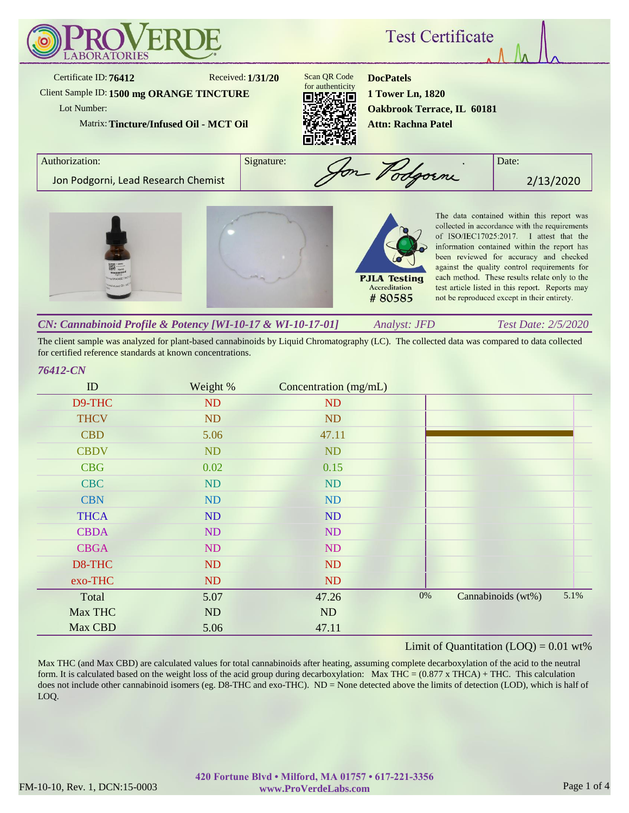

The client sample was analyzed for plant-based cannabinoids by Liquid Chromatography (LC). The collected data was compared to data collected for certified reference standards at known concentrations.

## *76412-CN*

| ID          | Weight % | Concentration (mg/mL) |       |                    |      |
|-------------|----------|-----------------------|-------|--------------------|------|
| D9-THC      | ND       | ND                    |       |                    |      |
| <b>THCV</b> | ND       | <b>ND</b>             |       |                    |      |
| <b>CBD</b>  | 5.06     | 47.11                 |       |                    |      |
| <b>CBDV</b> | ND       | ND                    |       |                    |      |
| <b>CBG</b>  | 0.02     | 0.15                  |       |                    |      |
| <b>CBC</b>  | ND       | <b>ND</b>             |       |                    |      |
| <b>CBN</b>  | ND       | ND                    |       |                    |      |
| <b>THCA</b> | ND       | ND                    |       |                    |      |
| <b>CBDA</b> | ND       | ND                    |       |                    |      |
| <b>CBGA</b> | ND       | ND                    |       |                    |      |
| D8-THC      | ND       | <b>ND</b>             |       |                    |      |
| exo-THC     | ND       | <b>ND</b>             |       |                    |      |
| Total       | 5.07     | 47.26                 | $0\%$ | Cannabinoids (wt%) | 5.1% |
| Max THC     | ND       | ND                    |       |                    |      |
| Max CBD     | 5.06     | 47.11                 |       |                    |      |

## Limit of Quantitation  $(LOQ) = 0.01$  wt%

Max THC (and Max CBD) are calculated values for total cannabinoids after heating, assuming complete decarboxylation of the acid to the neutral form. It is calculated based on the weight loss of the acid group during decarboxylation: Max THC =  $(0.877 \times THCA) + THC$ . This calculation does not include other cannabinoid isomers (eg. D8-THC and exo-THC). ND = None detected above the limits of detection (LOD), which is half of LOQ.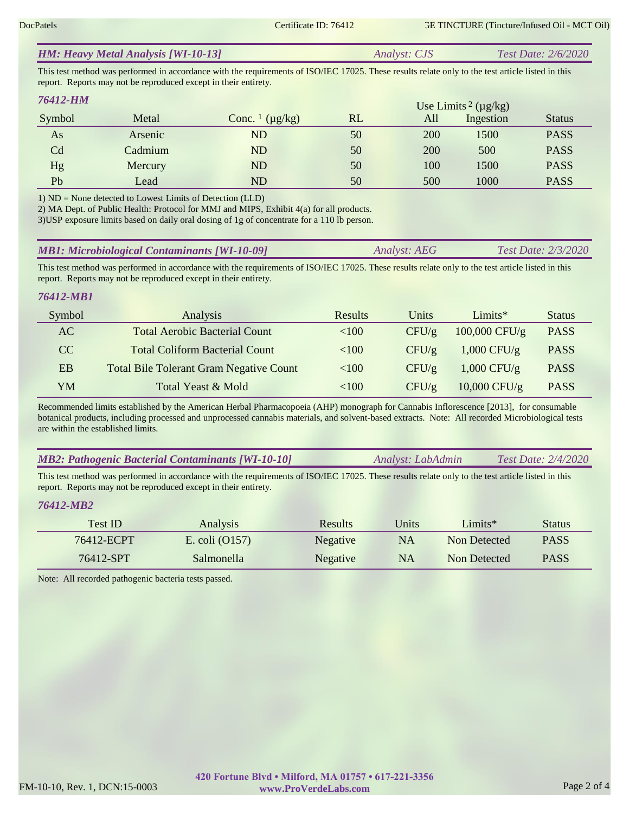|  | <b>HM: Heavy Metal Analysis [WI-10-13]</b> | <i>Analyst: CJS</i> | Test Date: $2/6/2020$ |
|--|--------------------------------------------|---------------------|-----------------------|
|--|--------------------------------------------|---------------------|-----------------------|

This test method was performed in accordance with the requirements of ISO/IEC 17025. These results relate only to the test article listed in this report. Reports may not be reproduced except in their entirety.

| 76412-HM |         |                                     |    |     | Use Limits <sup>2</sup> ( $\mu$ g/kg) |               |
|----------|---------|-------------------------------------|----|-----|---------------------------------------|---------------|
| Symbol   | Metal   | Conc. $\frac{1}{\mu}$ ( $\mu$ g/kg) | RL | All | Ingestion                             | <b>Status</b> |
| As       | Arsenic | <b>ND</b>                           | 50 | 200 | 1500                                  | <b>PASS</b>   |
| Cd       | Cadmium | ND                                  | 50 | 200 | 500                                   | <b>PASS</b>   |
| Hg       | Mercury | ND                                  | 50 | 100 | 1500                                  | <b>PASS</b>   |
| Pb       | Lead    | ND                                  | 50 | 500 | 1000                                  | <b>PASS</b>   |

1) ND = None detected to Lowest Limits of Detection (LLD)

2) MA Dept. of Public Health: Protocol for MMJ and MIPS, Exhibit 4(a) for all products.

3)USP exposure limits based on daily oral dosing of 1g of concentrate for a 110 lb person.

This test method was performed in accordance with the requirements of ISO/IEC 17025. These results relate only to the test article listed in this report. Reports may not be reproduced except in their entirety.

## *76412-MB1*

| Symbol | <b>Analysis</b>                                | <b>Results</b> | Units    | Limits $*$      | <b>Status</b> |
|--------|------------------------------------------------|----------------|----------|-----------------|---------------|
| AC     | <b>Total Aerobic Bacterial Count</b>           | ${<}100$       | CFU/g    | $100,000$ CFU/g | <b>PASS</b>   |
| CC.    | <b>Total Coliform Bacterial Count</b>          | ${<}100$       | $CFU/\g$ | $1,000$ CFU/g   | <b>PASS</b>   |
| EB     | <b>Total Bile Tolerant Gram Negative Count</b> | ${<}100$       | $CFU/\g$ | $1,000$ CFU/g   | <b>PASS</b>   |
| YM     | Total Yeast & Mold                             | ${<}100$       | CFU/g    | $10,000$ CFU/g  | <b>PASS</b>   |

Recommended limits established by the American Herbal Pharmacopoeia (AHP) monograph for Cannabis Inflorescence [2013], for consumable botanical products, including processed and unprocessed cannabis materials, and solvent-based extracts. Note: All recorded Microbiological tests are within the established limits.

| <b>MB2: Pathogenic Bacterial Contaminants [WI-10-10]</b> | Analyst: LabAdmin | Test Date: $2/4/2020$ |
|----------------------------------------------------------|-------------------|-----------------------|
|----------------------------------------------------------|-------------------|-----------------------|

This test method was performed in accordance with the requirements of ISO/IEC 17025. These results relate only to the test article listed in this report. Reports may not be reproduced except in their entirety.

# *76412-MB2*

| Test ID    | Analysis         | Results         | Units | Limits $*$   | <b>Status</b> |
|------------|------------------|-----------------|-------|--------------|---------------|
| 76412-ECPT | E. coli $(0157)$ | <b>Negative</b> | NA    | Non Detected | <b>PASS</b>   |
| 76412-SPT  | Salmonella       | Negative        | NA    | Non Detected | <b>PASS</b>   |

Note: All recorded pathogenic bacteria tests passed.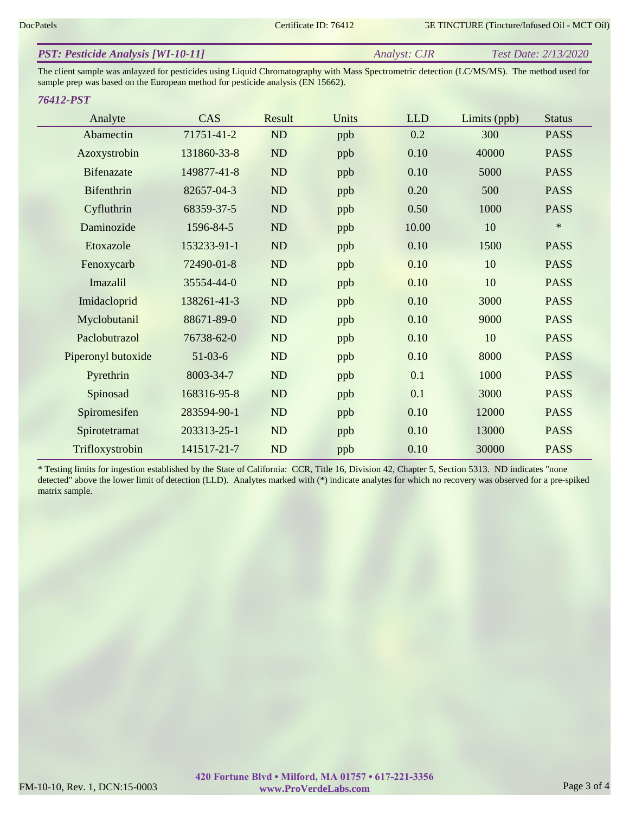|--|

The client sample was anlayzed for pesticides using Liquid Chromatography with Mass Spectrometric detection (LC/MS/MS). The method used for sample prep was based on the European method for pesticide analysis (EN 15662).

## *76412-PST*

| Analyte            | CAS         | Result | Units | <b>LLD</b> | Limits (ppb) | <b>Status</b> |
|--------------------|-------------|--------|-------|------------|--------------|---------------|
| Abamectin          | 71751-41-2  | ND     | ppb   | 0.2        | 300          | <b>PASS</b>   |
| Azoxystrobin       | 131860-33-8 | ND     | ppb   | 0.10       | 40000        | <b>PASS</b>   |
| <b>Bifenazate</b>  | 149877-41-8 | ND     | ppb   | 0.10       | 5000         | <b>PASS</b>   |
| Bifenthrin         | 82657-04-3  | ND     | ppb   | 0.20       | 500          | <b>PASS</b>   |
| Cyfluthrin         | 68359-37-5  | ND     | ppb   | 0.50       | 1000         | <b>PASS</b>   |
| Daminozide         | 1596-84-5   | ND     | ppb   | 10.00      | 10           | $\ast$        |
| Etoxazole          | 153233-91-1 | ND     | ppb   | 0.10       | 1500         | <b>PASS</b>   |
| Fenoxycarb         | 72490-01-8  | ND     | ppb   | 0.10       | 10           | <b>PASS</b>   |
| Imazalil           | 35554-44-0  | ND     | ppb   | 0.10       | 10           | <b>PASS</b>   |
| Imidacloprid       | 138261-41-3 | ND     | ppb   | 0.10       | 3000         | <b>PASS</b>   |
| Myclobutanil       | 88671-89-0  | ND     | ppb   | 0.10       | 9000         | <b>PASS</b>   |
| Paclobutrazol      | 76738-62-0  | ND     | ppb   | 0.10       | 10           | <b>PASS</b>   |
| Piperonyl butoxide | $51-03-6$   | ND     | ppb   | 0.10       | 8000         | <b>PASS</b>   |
| Pyrethrin          | 8003-34-7   | ND     | ppb   | 0.1        | 1000         | <b>PASS</b>   |
| Spinosad           | 168316-95-8 | ND     | ppb   | 0.1        | 3000         | <b>PASS</b>   |
| Spiromesifen       | 283594-90-1 | ND     | ppb   | 0.10       | 12000        | <b>PASS</b>   |
| Spirotetramat      | 203313-25-1 | ND     | ppb   | 0.10       | 13000        | <b>PASS</b>   |
| Trifloxystrobin    | 141517-21-7 | ND     | ppb   | 0.10       | 30000        | <b>PASS</b>   |

\* Testing limits for ingestion established by the State of California: CCR, Title 16, Division 42, Chapter 5, Section 5313. ND indicates "none detected" above the lower limit of detection (LLD). Analytes marked with (\*) indicate analytes for which no recovery was observed for a pre-spiked matrix sample.